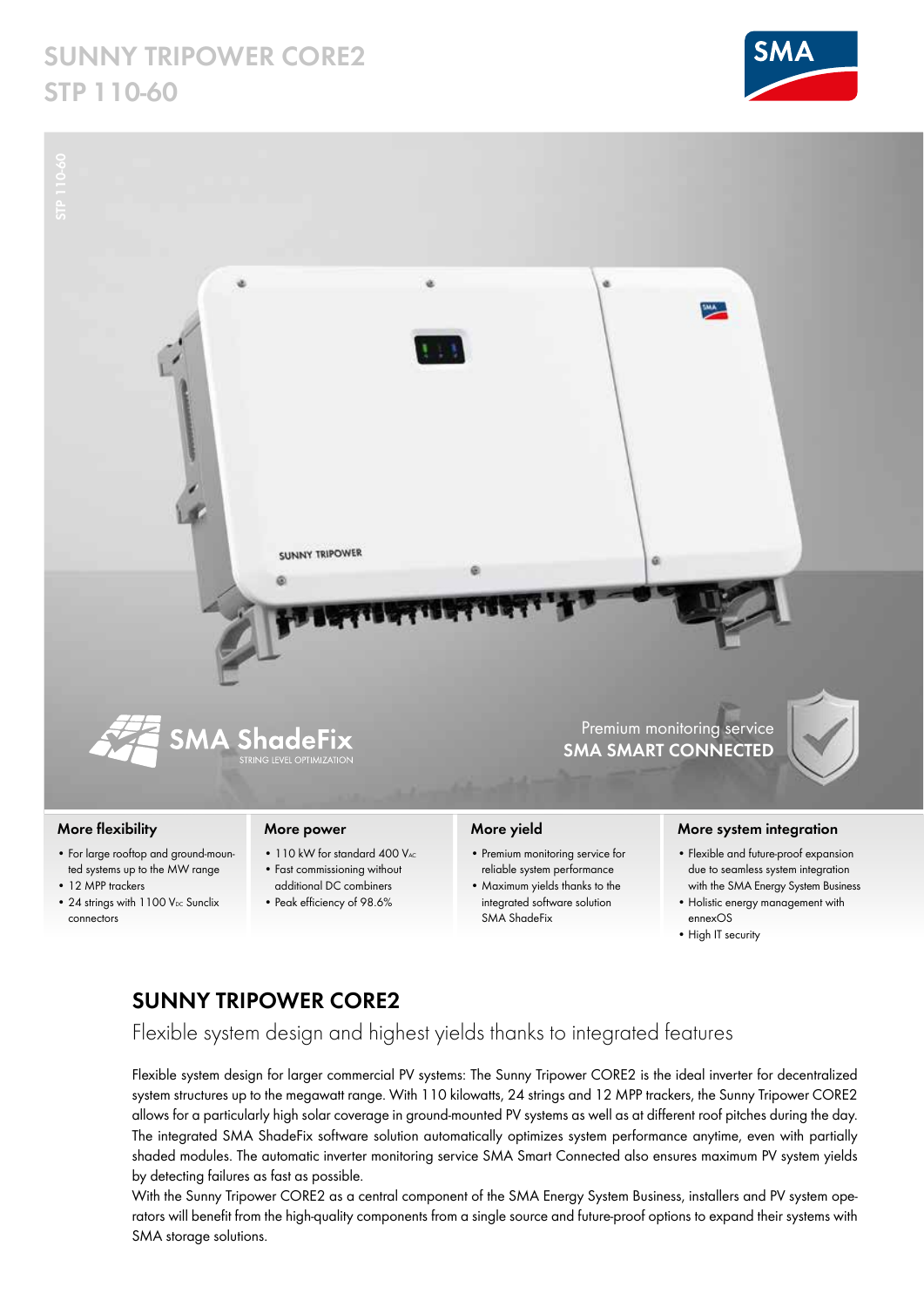# **SUNNY TRIPOWER CORE2 STP 110-60**





### **More flexibility**

- For large rooftop and ground-mounted systems up to the MW range
- 12 MPP trackers
- 24 strings with  $1100$  V<sub>DC</sub> Sunclix connectors

#### **More power**

- 110 kW for standard 400 VAC
- Fast commissioning without additional DC combiners
- Peak efficiency of 98.6%

## **More yield**

- Premium monitoring service for reliable system performance
- Maximum yields thanks to the integrated software solution SMA ShadeFix

#### **More system integration**

- Flexible and future-proof expansion due to seamless system integration with the SMA Energy System Business
- Holistic energy management with ennexOS
- High IT security

## **SUNNY TRIPOWER CORE2**

Flexible system design and highest yields thanks to integrated features

Flexible system design for larger commercial PV systems: The Sunny Tripower CORE2 is the ideal inverter for decentralized system structures up to the megawatt range. With 110 kilowatts, 24 strings and 12 MPP trackers, the Sunny Tripower CORE2 allows for a particularly high solar coverage in ground-mounted PV systems as well as at different roof pitches during the day. The integrated SMA ShadeFix software solution automatically optimizes system performance anytime, even with partially shaded modules. The automatic inverter monitoring service SMA Smart Connected also ensures maximum PV system yields by detecting failures as fast as possible.

With the Sunny Tripower CORE2 as a central component of the SMA Energy System Business, installers and PV system operators will benefit from the high-quality components from a single source and future-proof options to expand their systems with SMA storage solutions.